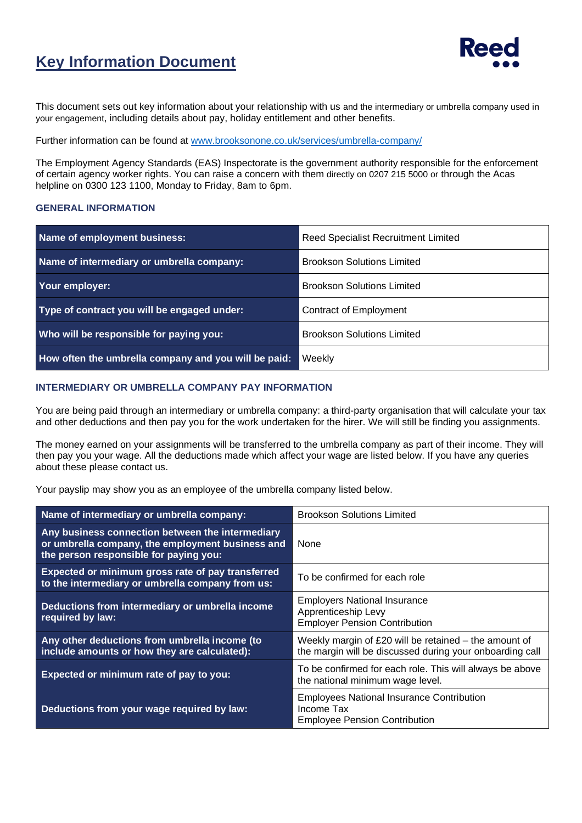## **Key Information Document**



This document sets out key information about your relationship with us and the intermediary or umbrella company used in your engagement, including details about pay, holiday entitlement and other benefits.

Further information can be found at [www.brooksonone.co.uk/services/umbrella-company/](http://www.brooksonone.co.uk/services/umbrella-company/)

The Employment Agency Standards (EAS) Inspectorate is the government authority responsible for the enforcement of certain agency worker rights. You can raise a concern with them directly on 0207 215 5000 or through the Acas helpline on 0300 123 1100, Monday to Friday, 8am to 6pm.

## **GENERAL INFORMATION**

| Name of employment business:                         | <b>Reed Specialist Recruitment Limited</b> |  |
|------------------------------------------------------|--------------------------------------------|--|
| Name of intermediary or umbrella company:            | <b>Brookson Solutions Limited</b>          |  |
| Your employer:                                       | <b>Brookson Solutions Limited</b>          |  |
| Type of contract you will be engaged under:          | <b>Contract of Employment</b>              |  |
| Who will be responsible for paying you:              | <b>Brookson Solutions Limited</b>          |  |
| How often the umbrella company and you will be paid: | Weekly                                     |  |

## **INTERMEDIARY OR UMBRELLA COMPANY PAY INFORMATION**

You are being paid through an intermediary or umbrella company: a third-party organisation that will calculate your tax and other deductions and then pay you for the work undertaken for the hirer. We will still be finding you assignments.

The money earned on your assignments will be transferred to the umbrella company as part of their income. They will then pay you your wage. All the deductions made which affect your wage are listed below. If you have any queries about these please contact us.

Your payslip may show you as an employee of the umbrella company listed below.

| Name of intermediary or umbrella company:                                                                                                      | <b>Brookson Solutions Limited</b>                                                                                   |  |
|------------------------------------------------------------------------------------------------------------------------------------------------|---------------------------------------------------------------------------------------------------------------------|--|
| Any business connection between the intermediary<br>or umbrella company, the employment business and<br>the person responsible for paying you: | None                                                                                                                |  |
| Expected or minimum gross rate of pay transferred<br>to the intermediary or umbrella company from us:                                          | To be confirmed for each role                                                                                       |  |
| Deductions from intermediary or umbrella income<br>required by law:                                                                            | <b>Employers National Insurance</b><br>Apprenticeship Levy<br><b>Employer Pension Contribution</b>                  |  |
| Any other deductions from umbrella income (to<br>include amounts or how they are calculated):                                                  | Weekly margin of $£20$ will be retained – the amount of<br>the margin will be discussed during your onboarding call |  |
| Expected or minimum rate of pay to you:                                                                                                        | To be confirmed for each role. This will always be above<br>the national minimum wage level.                        |  |
| Deductions from your wage required by law:                                                                                                     | <b>Employees National Insurance Contribution</b><br>Income Tax<br><b>Employee Pension Contribution</b>              |  |